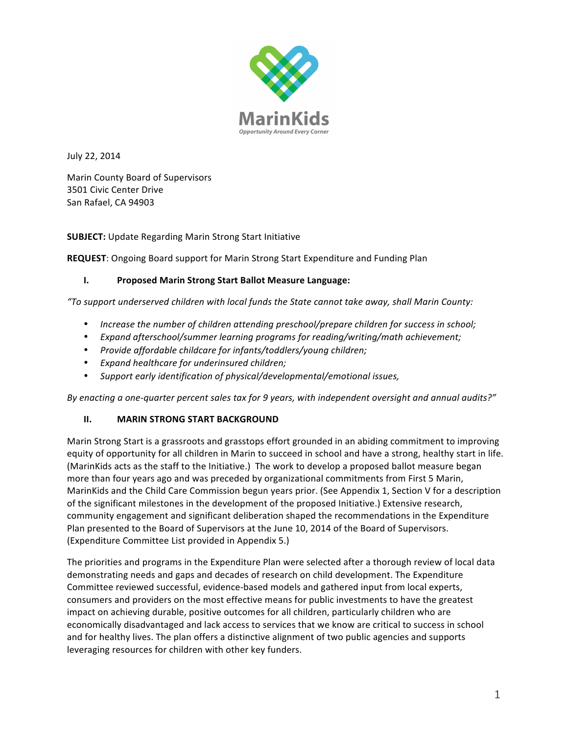

July 22, 2014

Marin County Board of Supervisors 3501 Civic Center Drive San Rafael, CA 94903

**SUBJECT:** Update Regarding Marin Strong Start Initiative

**REQUEST:** Ongoing Board support for Marin Strong Start Expenditure and Funding Plan

#### **I. Proposed Marin Strong Start Ballot Measure Language:**

"To support underserved children with local funds the State cannot take away, shall Marin County:

- Increase the number of children attending preschool/prepare children for success in school;
- Expand afterschool/summer learning programs for reading/writing/math achievement;
- Provide affordable childcare for infants/toddlers/young children;
- *Expand healthcare for underinsured children;*
- Support early identification of physical/developmental/emotional issues,

By enacting a one-quarter percent sales tax for 9 years, with independent oversight and annual audits?"

#### **II. MARIN STRONG START BACKGROUND**

Marin Strong Start is a grassroots and grasstops effort grounded in an abiding commitment to improving equity of opportunity for all children in Marin to succeed in school and have a strong, healthy start in life. (MarinKids acts as the staff to the Initiative.) The work to develop a proposed ballot measure began more than four years ago and was preceded by organizational commitments from First 5 Marin, MarinKids and the Child Care Commission begun years prior. (See Appendix 1, Section V for a description of the significant milestones in the development of the proposed Initiative.) Extensive research, community engagement and significant deliberation shaped the recommendations in the Expenditure Plan presented to the Board of Supervisors at the June 10, 2014 of the Board of Supervisors. (Expenditure Committee List provided in Appendix 5.)

The priorities and programs in the Expenditure Plan were selected after a thorough review of local data demonstrating needs and gaps and decades of research on child development. The Expenditure Committee reviewed successful, evidence-based models and gathered input from local experts, consumers and providers on the most effective means for public investments to have the greatest impact on achieving durable, positive outcomes for all children, particularly children who are economically disadvantaged and lack access to services that we know are critical to success in school and for healthy lives. The plan offers a distinctive alignment of two public agencies and supports leveraging resources for children with other key funders.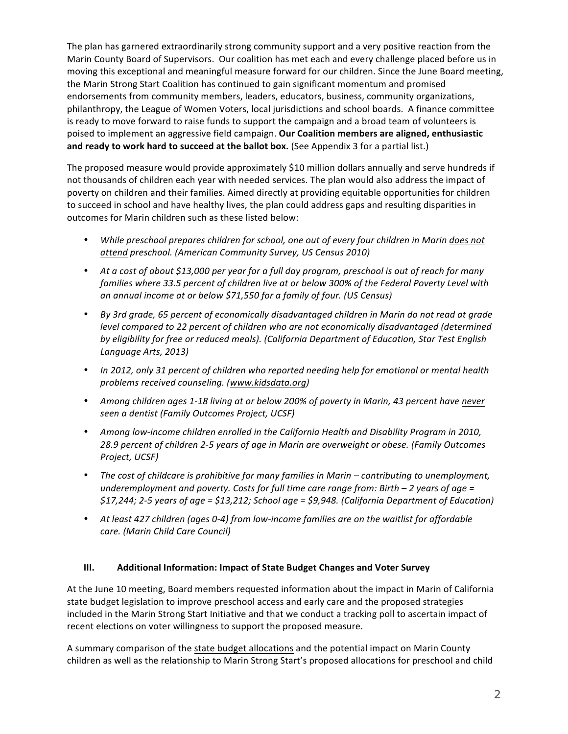The plan has garnered extraordinarily strong community support and a very positive reaction from the Marin County Board of Supervisors. Our coalition has met each and every challenge placed before us in moving this exceptional and meaningful measure forward for our children. Since the June Board meeting, the Marin Strong Start Coalition has continued to gain significant momentum and promised endorsements from community members, leaders, educators, business, community organizations, philanthropy, the League of Women Voters, local jurisdictions and school boards. A finance committee is ready to move forward to raise funds to support the campaign and a broad team of volunteers is poised to implement an aggressive field campaign. Our Coalition members are aligned, enthusiastic and ready to work hard to succeed at the ballot box. (See Appendix 3 for a partial list.)

The proposed measure would provide approximately \$10 million dollars annually and serve hundreds if not thousands of children each year with needed services. The plan would also address the impact of poverty on children and their families. Aimed directly at providing equitable opportunities for children to succeed in school and have healthy lives, the plan could address gaps and resulting disparities in outcomes for Marin children such as these listed below:

- While preschool prepares children for school, one out of every four children in Marin does not *attend preschool. (American Community Survey, US Census 2010)*
- At a cost of about \$13,000 per year for a full day program, preschool is out of reach for many families where 33.5 percent of children live at or below 300% of the Federal Poverty Level with an annual income at or below \$71,550 for a family of four. (US Census)
- *By 3rd grade, 65 percent of economically disadvantaged children in Marin do not read at grade level* compared to 22 percent of children who are not economically disadvantaged (determined by eligibility for free or reduced meals). (California Department of Education, Star Test English *Language Arts, 2013)*
- In 2012, only 31 percent of children who reported needing help for emotional or mental health *problems received counseling. (www.kidsdata.org)*
- Among children ages 1-18 living at or below 200% of poverty in Marin, 43 percent have never *seen a dentist (Family Outcomes Project, UCSF)*
- Among low-income children enrolled in the California Health and Disability Program in 2010, 28.9 percent of children 2-5 years of age in Marin are overweight or obese. (Family Outcomes *Project, UCSF)*
- The cost of childcare is prohibitive for many families in Marin contributing to unemployment, *underemployment and poverty. Costs for full time care range from: Birth* – 2 years of age = *\$17,244; 2-5 years of age = \$13,212; School age = \$9,948. (California Department of Education)*
- At least 427 children (ages 0-4) from low-income families are on the waitlist for affordable *care. (Marin Child Care Council)*

# **III.** Additional Information: Impact of State Budget Changes and Voter Survey

At the June 10 meeting, Board members requested information about the impact in Marin of California state budget legislation to improve preschool access and early care and the proposed strategies included in the Marin Strong Start Initiative and that we conduct a tracking poll to ascertain impact of recent elections on voter willingness to support the proposed measure.

A summary comparison of the state budget allocations and the potential impact on Marin County children as well as the relationship to Marin Strong Start's proposed allocations for preschool and child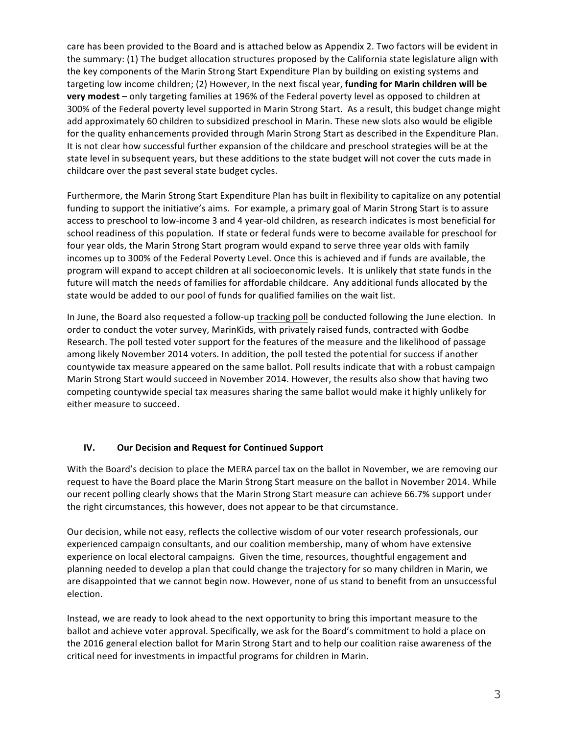care has been provided to the Board and is attached below as Appendix 2. Two factors will be evident in the summary: (1) The budget allocation structures proposed by the California state legislature align with the key components of the Marin Strong Start Expenditure Plan by building on existing systems and targeting low income children; (2) However, In the next fiscal year, **funding for Marin children will be very modest** – only targeting families at 196% of the Federal poverty level as opposed to children at 300% of the Federal poverty level supported in Marin Strong Start. As a result, this budget change might add approximately 60 children to subsidized preschool in Marin. These new slots also would be eligible for the quality enhancements provided through Marin Strong Start as described in the Expenditure Plan. It is not clear how successful further expansion of the childcare and preschool strategies will be at the state level in subsequent years, but these additions to the state budget will not cover the cuts made in childcare over the past several state budget cycles.

Furthermore, the Marin Strong Start Expenditure Plan has built in flexibility to capitalize on any potential funding to support the initiative's aims. For example, a primary goal of Marin Strong Start is to assure access to preschool to low-income 3 and 4 year-old children, as research indicates is most beneficial for school readiness of this population. If state or federal funds were to become available for preschool for four year olds, the Marin Strong Start program would expand to serve three year olds with family incomes up to 300% of the Federal Poverty Level. Once this is achieved and if funds are available, the program will expand to accept children at all socioeconomic levels. It is unlikely that state funds in the future will match the needs of families for affordable childcare. Any additional funds allocated by the state would be added to our pool of funds for qualified families on the wait list.

In June, the Board also requested a follow-up tracking poll be conducted following the June election. In order to conduct the voter survey, MarinKids, with privately raised funds, contracted with Godbe Research. The poll tested voter support for the features of the measure and the likelihood of passage among likely November 2014 voters. In addition, the poll tested the potential for success if another countywide tax measure appeared on the same ballot. Poll results indicate that with a robust campaign Marin Strong Start would succeed in November 2014. However, the results also show that having two competing countywide special tax measures sharing the same ballot would make it highly unlikely for either measure to succeed.

# **IV. Our Decision and Request for Continued Support**

With the Board's decision to place the MERA parcel tax on the ballot in November, we are removing our request to have the Board place the Marin Strong Start measure on the ballot in November 2014. While our recent polling clearly shows that the Marin Strong Start measure can achieve 66.7% support under the right circumstances, this however, does not appear to be that circumstance.

Our decision, while not easy, reflects the collective wisdom of our voter research professionals, our experienced campaign consultants, and our coalition membership, many of whom have extensive experience on local electoral campaigns. Given the time, resources, thoughtful engagement and planning needed to develop a plan that could change the trajectory for so many children in Marin, we are disappointed that we cannot begin now. However, none of us stand to benefit from an unsuccessful election.

Instead, we are ready to look ahead to the next opportunity to bring this important measure to the ballot and achieve voter approval. Specifically, we ask for the Board's commitment to hold a place on the 2016 general election ballot for Marin Strong Start and to help our coalition raise awareness of the critical need for investments in impactful programs for children in Marin.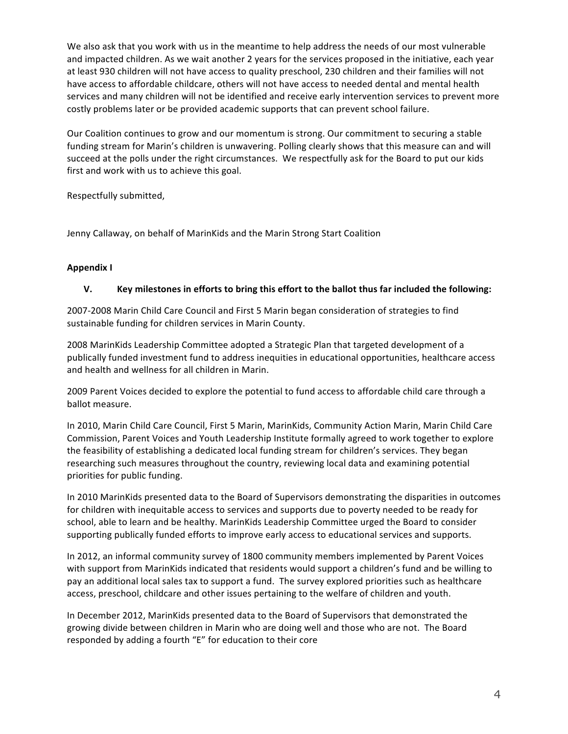We also ask that you work with us in the meantime to help address the needs of our most vulnerable and impacted children. As we wait another 2 years for the services proposed in the initiative, each year at least 930 children will not have access to quality preschool, 230 children and their families will not have access to affordable childcare, others will not have access to needed dental and mental health services and many children will not be identified and receive early intervention services to prevent more costly problems later or be provided academic supports that can prevent school failure.

Our Coalition continues to grow and our momentum is strong. Our commitment to securing a stable funding stream for Marin's children is unwavering. Polling clearly shows that this measure can and will succeed at the polls under the right circumstances. We respectfully ask for the Board to put our kids first and work with us to achieve this goal.

Respectfully submitted,

Jenny Callaway, on behalf of MarinKids and the Marin Strong Start Coalition

### **Appendix I**

### **V. Key** milestones in efforts to bring this effort to the ballot thus far included the following:

2007-2008 Marin Child Care Council and First 5 Marin began consideration of strategies to find sustainable funding for children services in Marin County.

2008 MarinKids Leadership Committee adopted a Strategic Plan that targeted development of a publically funded investment fund to address inequities in educational opportunities, healthcare access and health and wellness for all children in Marin.

2009 Parent Voices decided to explore the potential to fund access to affordable child care through a ballot measure.

In 2010, Marin Child Care Council, First 5 Marin, MarinKids, Community Action Marin, Marin Child Care Commission, Parent Voices and Youth Leadership Institute formally agreed to work together to explore the feasibility of establishing a dedicated local funding stream for children's services. They began researching such measures throughout the country, reviewing local data and examining potential priorities for public funding.

In 2010 MarinKids presented data to the Board of Supervisors demonstrating the disparities in outcomes for children with inequitable access to services and supports due to poverty needed to be ready for school, able to learn and be healthy. MarinKids Leadership Committee urged the Board to consider supporting publically funded efforts to improve early access to educational services and supports.

In 2012, an informal community survey of 1800 community members implemented by Parent Voices with support from MarinKids indicated that residents would support a children's fund and be willing to pay an additional local sales tax to support a fund. The survey explored priorities such as healthcare access, preschool, childcare and other issues pertaining to the welfare of children and youth.

In December 2012, MarinKids presented data to the Board of Supervisors that demonstrated the growing divide between children in Marin who are doing well and those who are not. The Board responded by adding a fourth "E" for education to their core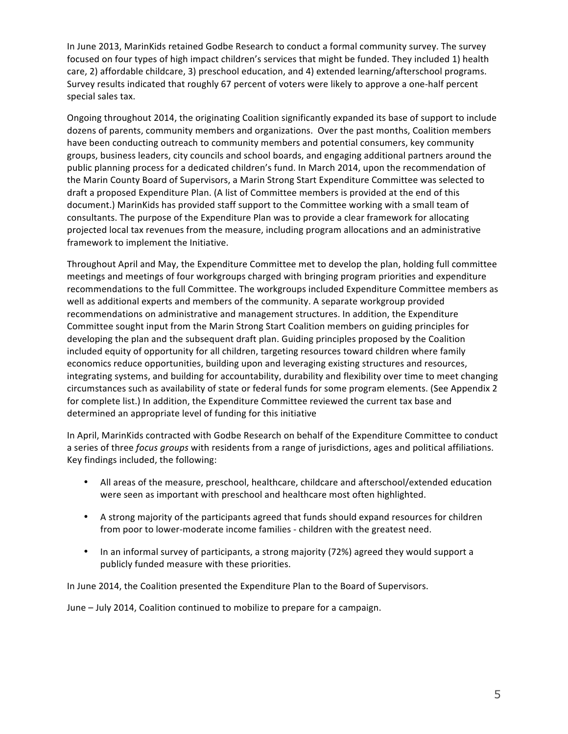In June 2013, MarinKids retained Godbe Research to conduct a formal community survey. The survey focused on four types of high impact children's services that might be funded. They included 1) health care, 2) affordable childcare, 3) preschool education, and 4) extended learning/afterschool programs. Survey results indicated that roughly 67 percent of voters were likely to approve a one-half percent special sales tax.

Ongoing throughout 2014, the originating Coalition significantly expanded its base of support to include dozens of parents, community members and organizations. Over the past months, Coalition members have been conducting outreach to community members and potential consumers, key community groups, business leaders, city councils and school boards, and engaging additional partners around the public planning process for a dedicated children's fund. In March 2014, upon the recommendation of the Marin County Board of Supervisors, a Marin Strong Start Expenditure Committee was selected to draft a proposed Expenditure Plan. (A list of Committee members is provided at the end of this document.) MarinKids has provided staff support to the Committee working with a small team of consultants. The purpose of the Expenditure Plan was to provide a clear framework for allocating projected local tax revenues from the measure, including program allocations and an administrative framework to implement the Initiative.

Throughout April and May, the Expenditure Committee met to develop the plan, holding full committee meetings and meetings of four workgroups charged with bringing program priorities and expenditure recommendations to the full Committee. The workgroups included Expenditure Committee members as well as additional experts and members of the community. A separate workgroup provided recommendations on administrative and management structures. In addition, the Expenditure Committee sought input from the Marin Strong Start Coalition members on guiding principles for developing the plan and the subsequent draft plan. Guiding principles proposed by the Coalition included equity of opportunity for all children, targeting resources toward children where family economics reduce opportunities, building upon and leveraging existing structures and resources, integrating systems, and building for accountability, durability and flexibility over time to meet changing circumstances such as availability of state or federal funds for some program elements. (See Appendix 2 for complete list.) In addition, the Expenditure Committee reviewed the current tax base and determined an appropriate level of funding for this initiative

In April, MarinKids contracted with Godbe Research on behalf of the Expenditure Committee to conduct a series of three *focus groups* with residents from a range of jurisdictions, ages and political affiliations. Key findings included, the following:

- All areas of the measure, preschool, healthcare, childcare and afterschool/extended education were seen as important with preschool and healthcare most often highlighted.
- A strong majority of the participants agreed that funds should expand resources for children from poor to lower-moderate income families - children with the greatest need.
- In an informal survey of participants, a strong majority (72%) agreed they would support a publicly funded measure with these priorities.

In June 2014, the Coalition presented the Expenditure Plan to the Board of Supervisors.

June – July 2014, Coalition continued to mobilize to prepare for a campaign.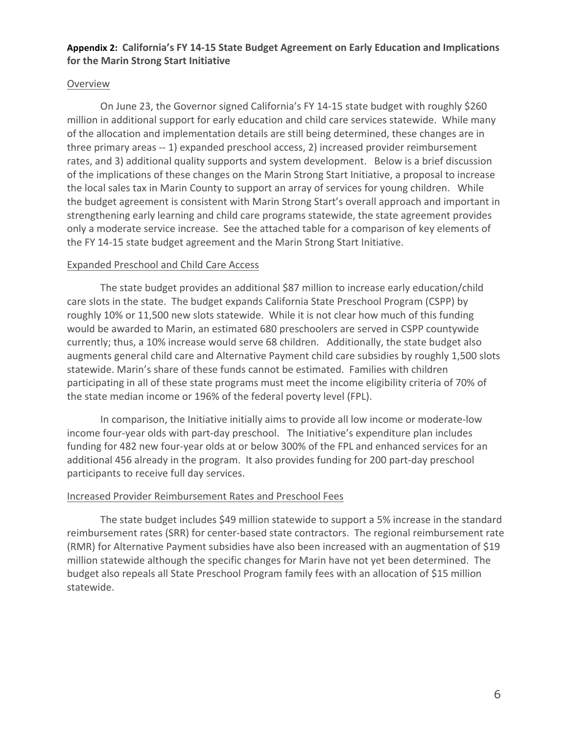# Appendix 2: California's FY 14-15 State Budget Agreement on Early Education and Implications **for the Marin Strong Start Initiative**

# Overview

On June 23, the Governor signed California's FY 14-15 state budget with roughly \$260 million in additional support for early education and child care services statewide. While many of the allocation and implementation details are still being determined, these changes are in three primary areas -- 1) expanded preschool access, 2) increased provider reimbursement rates, and 3) additional quality supports and system development. Below is a brief discussion of the implications of these changes on the Marin Strong Start Initiative, a proposal to increase the local sales tax in Marin County to support an array of services for young children. While the budget agreement is consistent with Marin Strong Start's overall approach and important in strengthening early learning and child care programs statewide, the state agreement provides only a moderate service increase. See the attached table for a comparison of key elements of the FY 14-15 state budget agreement and the Marin Strong Start Initiative.

# Expanded Preschool and Child Care Access

The state budget provides an additional \$87 million to increase early education/child care slots in the state. The budget expands California State Preschool Program (CSPP) by roughly 10% or 11,500 new slots statewide. While it is not clear how much of this funding would be awarded to Marin, an estimated 680 preschoolers are served in CSPP countywide currently; thus, a 10% increase would serve 68 children. Additionally, the state budget also augments general child care and Alternative Payment child care subsidies by roughly 1,500 slots statewide. Marin's share of these funds cannot be estimated. Families with children participating in all of these state programs must meet the income eligibility criteria of 70% of the state median income or 196% of the federal poverty level (FPL).

In comparison, the Initiative initially aims to provide all low income or moderate-low income four-year olds with part-day preschool. The Initiative's expenditure plan includes funding for 482 new four-year olds at or below 300% of the FPL and enhanced services for an additional 456 already in the program. It also provides funding for 200 part-day preschool participants to receive full day services.

# Increased Provider Reimbursement Rates and Preschool Fees

The state budget includes \$49 million statewide to support a 5% increase in the standard reimbursement rates (SRR) for center-based state contractors. The regional reimbursement rate (RMR) for Alternative Payment subsidies have also been increased with an augmentation of \$19 million statewide although the specific changes for Marin have not yet been determined. The budget also repeals all State Preschool Program family fees with an allocation of \$15 million statewide.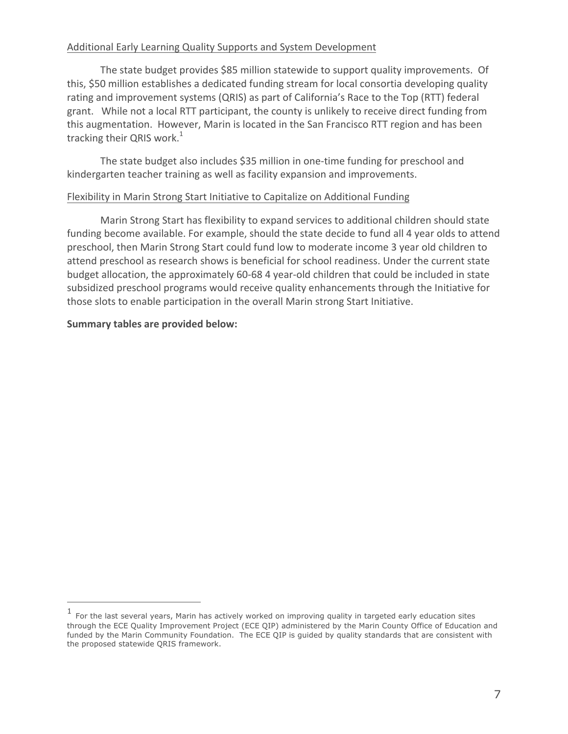# Additional Early Learning Quality Supports and System Development

The state budget provides \$85 million statewide to support quality improvements. Of this, \$50 million establishes a dedicated funding stream for local consortia developing quality rating and improvement systems (QRIS) as part of California's Race to the Top (RTT) federal grant. While not a local RTT participant, the county is unlikely to receive direct funding from this augmentation. However, Marin is located in the San Francisco RTT region and has been tracking their QRIS work. $^1$ 

The state budget also includes \$35 million in one-time funding for preschool and kindergarten teacher training as well as facility expansion and improvements.

# Flexibility in Marin Strong Start Initiative to Capitalize on Additional Funding

Marin Strong Start has flexibility to expand services to additional children should state funding become available. For example, should the state decide to fund all 4 year olds to attend preschool, then Marin Strong Start could fund low to moderate income 3 year old children to attend preschool as research shows is beneficial for school readiness. Under the current state budget allocation, the approximately 60-68 4 year-old children that could be included in state subsidized preschool programs would receive quality enhancements through the Initiative for those slots to enable participation in the overall Marin strong Start Initiative.

# **Summary tables are provided below:**

 $\overline{a}$ 

<sup>1</sup> For the last several years, Marin has actively worked on improving quality in targeted early education sites through the ECE Quality Improvement Project (ECE QIP) administered by the Marin County Office of Education and funded by the Marin Community Foundation. The ECE QIP is guided by quality standards that are consistent with the proposed statewide QRIS framework.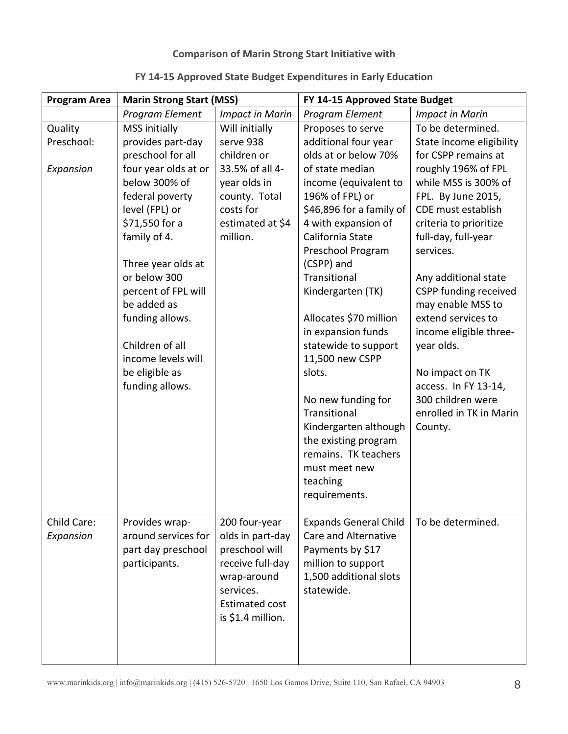# **Comparison of Marin Strong Start Initiative with**

| FY 14-15 Approved State Budget Expenditures in Early Education |  |  |
|----------------------------------------------------------------|--|--|
|----------------------------------------------------------------|--|--|

| <b>Program Area</b>                | <b>Marin Strong Start (MSS)</b>                                                                                                                                                                                                                                                                                                                             |                                                                                                                                                   | FY 14-15 Approved State Budget                                                                                                                                                                                                                                                                                                                                                                                                                                                                                                   |                                                                                                                                                                                                                                                                                                                                                                                                                                                                                |
|------------------------------------|-------------------------------------------------------------------------------------------------------------------------------------------------------------------------------------------------------------------------------------------------------------------------------------------------------------------------------------------------------------|---------------------------------------------------------------------------------------------------------------------------------------------------|----------------------------------------------------------------------------------------------------------------------------------------------------------------------------------------------------------------------------------------------------------------------------------------------------------------------------------------------------------------------------------------------------------------------------------------------------------------------------------------------------------------------------------|--------------------------------------------------------------------------------------------------------------------------------------------------------------------------------------------------------------------------------------------------------------------------------------------------------------------------------------------------------------------------------------------------------------------------------------------------------------------------------|
|                                    | Program Element                                                                                                                                                                                                                                                                                                                                             | <b>Impact in Marin</b>                                                                                                                            | Program Element                                                                                                                                                                                                                                                                                                                                                                                                                                                                                                                  | <b>Impact in Marin</b>                                                                                                                                                                                                                                                                                                                                                                                                                                                         |
| Quality<br>Preschool:<br>Expansion | <b>MSS</b> initially<br>provides part-day<br>preschool for all<br>four year olds at or<br>below 300% of<br>federal poverty<br>level (FPL) or<br>\$71,550 for a<br>family of 4.<br>Three year olds at<br>or below 300<br>percent of FPL will<br>be added as<br>funding allows.<br>Children of all<br>income levels will<br>be eligible as<br>funding allows. | Will initially<br>serve 938<br>children or<br>33.5% of all 4-<br>year olds in<br>county. Total<br>costs for<br>estimated at \$4<br>million.       | Proposes to serve<br>additional four year<br>olds at or below 70%<br>of state median<br>income (equivalent to<br>196% of FPL) or<br>\$46,896 for a family of<br>4 with expansion of<br>California State<br>Preschool Program<br>(CSPP) and<br>Transitional<br>Kindergarten (TK)<br>Allocates \$70 million<br>in expansion funds<br>statewide to support<br>11,500 new CSPP<br>slots.<br>No new funding for<br>Transitional<br>Kindergarten although<br>the existing program<br>remains. TK teachers<br>must meet new<br>teaching | To be determined.<br>State income eligibility<br>for CSPP remains at<br>roughly 196% of FPL<br>while MSS is 300% of<br>FPL. By June 2015,<br>CDE must establish<br>criteria to prioritize<br>full-day, full-year<br>services.<br>Any additional state<br><b>CSPP funding received</b><br>may enable MSS to<br>extend services to<br>income eligible three-<br>year olds.<br>No impact on TK<br>access. In FY 13-14,<br>300 children were<br>enrolled in TK in Marin<br>County. |
|                                    |                                                                                                                                                                                                                                                                                                                                                             |                                                                                                                                                   | requirements.                                                                                                                                                                                                                                                                                                                                                                                                                                                                                                                    |                                                                                                                                                                                                                                                                                                                                                                                                                                                                                |
| Child Care:<br>Expansion           | Provides wrap-<br>around services for<br>part day preschool<br>participants.                                                                                                                                                                                                                                                                                | 200 four-year<br>olds in part-day<br>preschool will<br>receive full-day<br>wrap-around<br>services.<br><b>Estimated cost</b><br>is \$1.4 million. | <b>Expands General Child</b><br><b>Care and Alternative</b><br>Payments by \$17<br>million to support<br>1,500 additional slots<br>statewide.                                                                                                                                                                                                                                                                                                                                                                                    | To be determined.                                                                                                                                                                                                                                                                                                                                                                                                                                                              |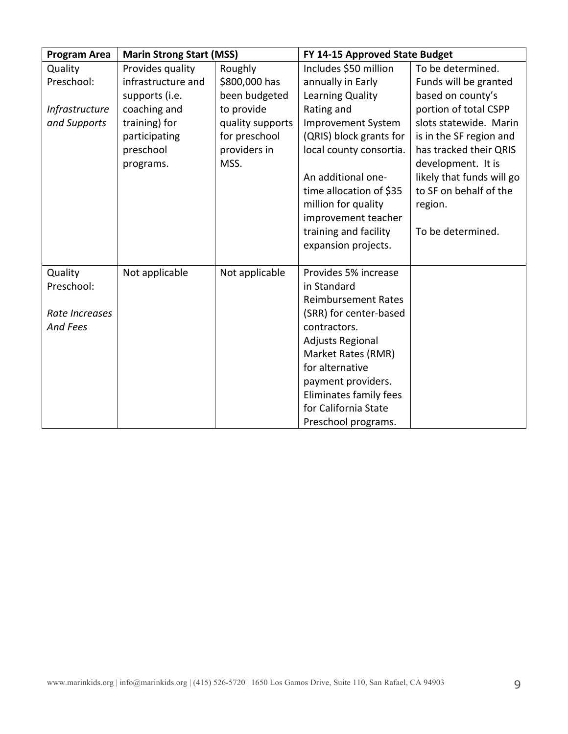| <b>Program Area</b> | <b>Marin Strong Start (MSS)</b> |                  | FY 14-15 Approved State Budget               |                           |
|---------------------|---------------------------------|------------------|----------------------------------------------|---------------------------|
| Quality             | Provides quality                | Roughly          | Includes \$50 million                        | To be determined.         |
| Preschool:          | infrastructure and              | \$800,000 has    | annually in Early                            | Funds will be granted     |
|                     | supports (i.e.                  | been budgeted    | Learning Quality                             | based on county's         |
| Infrastructure      | coaching and                    | to provide       | Rating and                                   | portion of total CSPP     |
| and Supports        | training) for                   | quality supports | Improvement System                           | slots statewide. Marin    |
|                     | participating                   | for preschool    | (QRIS) block grants for                      | is in the SF region and   |
|                     | preschool                       | providers in     | local county consortia.                      | has tracked their QRIS    |
|                     | programs.                       | MSS.             |                                              | development. It is        |
|                     |                                 |                  | An additional one-                           | likely that funds will go |
|                     |                                 |                  | time allocation of \$35                      | to SF on behalf of the    |
|                     |                                 |                  | million for quality                          | region.                   |
|                     |                                 |                  | improvement teacher                          |                           |
|                     |                                 |                  | training and facility                        | To be determined.         |
|                     |                                 |                  | expansion projects.                          |                           |
|                     |                                 |                  |                                              |                           |
| Quality             | Not applicable                  | Not applicable   | Provides 5% increase                         |                           |
| Preschool:          |                                 |                  | in Standard                                  |                           |
|                     |                                 |                  | <b>Reimbursement Rates</b>                   |                           |
| Rate Increases      |                                 |                  | (SRR) for center-based                       |                           |
| <b>And Fees</b>     |                                 |                  | contractors.                                 |                           |
|                     |                                 |                  | Adjusts Regional                             |                           |
|                     |                                 |                  | Market Rates (RMR)<br>for alternative        |                           |
|                     |                                 |                  |                                              |                           |
|                     |                                 |                  | payment providers.<br>Eliminates family fees |                           |
|                     |                                 |                  | for California State                         |                           |
|                     |                                 |                  | Preschool programs.                          |                           |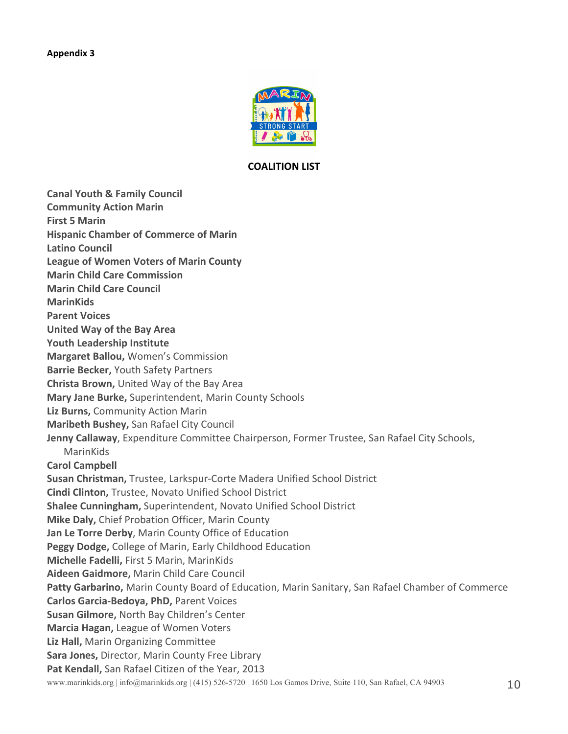

#### **COALITION LIST**

**Canal Youth & Family Council Community Action Marin First 5 Marin Hispanic Chamber of Commerce of Marin Latino Council League of Women Voters of Marin County Marin Child Care Commission Marin Child Care Council MarinKids Parent Voices United Way of the Bay Area Youth Leadership Institute Margaret Ballou, Women's Commission Barrie Becker, Youth Safety Partners Christa Brown, United Way of the Bay Area Mary Jane Burke, Superintendent, Marin County Schools Liz Burns, Community Action Marin Maribeth Bushey, San Rafael City Council Jenny Callaway**, Expenditure Committee Chairperson, Former Trustee, San Rafael City Schools, MarinKids **Carol Campbell Susan Christman, Trustee, Larkspur-Corte Madera Unified School District Cindi Clinton, Trustee, Novato Unified School District Shalee Cunningham, Superintendent, Novato Unified School District Mike Daly, Chief Probation Officer, Marin County Jan Le Torre Derby, Marin County Office of Education Peggy Dodge, College of Marin, Early Childhood Education Michelle Fadelli, First 5 Marin, MarinKids Aideen Gaidmore,** Marin Child Care Council Patty Garbarino, Marin County Board of Education, Marin Sanitary, San Rafael Chamber of Commerce **Carlos Garcia-Bedoya, PhD, Parent Voices Susan Gilmore, North Bay Children's Center Marcia Hagan, League of Women Voters** Liz Hall, Marin Organizing Committee **Sara Jones, Director, Marin County Free Library** Pat Kendall, San Rafael Citizen of the Year, 2013

www.marinkids.org | info@marinkids.org | (415) 526-5720 | 1650 Los Gamos Drive, Suite 110, San Rafael, CA 94903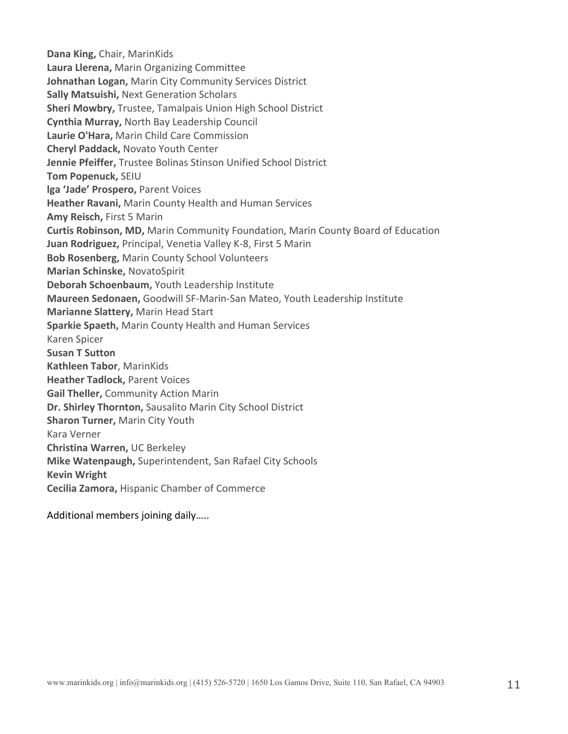**Dana King, Chair, MarinKids Laura Llerena, Marin Organizing Committee Johnathan Logan, Marin City Community Services District Sally Matsuishi, Next Generation Scholars Sheri Mowbry, Trustee, Tamalpais Union High School District Cynthia Murray,** North Bay Leadership Council Laurie O'Hara, Marin Child Care Commission **Cheryl Paddack, Novato Youth Center Jennie Pfeiffer, Trustee Bolinas Stinson Unified School District Tom Popenuck,** SEIU **lga 'Jade' Prospero, Parent Voices Heather Ravani, Marin County Health and Human Services Amy Reisch, First 5 Marin Curtis Robinson, MD, Marin Community Foundation, Marin County Board of Education Juan Rodriguez, Principal, Venetia Valley K-8, First 5 Marin Bob Rosenberg, Marin County School Volunteers Marian Schinske,** NovatoSpirit **Deborah Schoenbaum, Youth Leadership Institute Maureen Sedonaen,** Goodwill SF-Marin-San Mateo, Youth Leadership Institute **Marianne Slattery, Marin Head Start Sparkie Spaeth, Marin County Health and Human Services** Karen Spicer **Susan T Sutton Kathleen Tabor**, MarinKids **Heather Tadlock, Parent Voices Gail Theller, Community Action Marin Dr. Shirley Thornton, Sausalito Marin City School District Sharon Turner, Marin City Youth** Kara Verner **Christina Warren,** UC Berkeley **Mike Watenpaugh, Superintendent, San Rafael City Schools Kevin Wright Cecilia Zamora, Hispanic Chamber of Commerce** 

Additional members joining daily.....